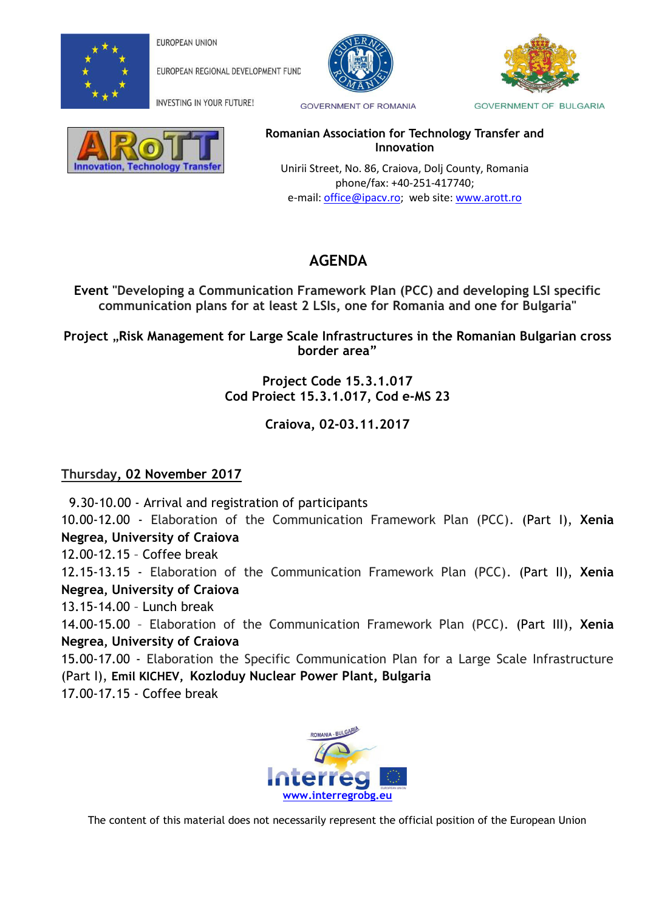

EUROPEAN UNION

**EUROPEAN REGIONAL DEVELOPMENT FUND** 





INVESTING IN YOUR FUTURE!

**GOVERNMENT OF ROMANIA** 

## nnovation, Technology Transfe

**Romanian Association for Technology Transfer and Innovation** 

 Unirii Street, No. 86, Craiova, Dolj County, Romania phone/fax: +40-251-417740; e-mail: [office@ipacv.ro;](mailto:office@ipacv.ro) web site: [www.arott.ro](http://www.arott.ro/)

## **AGENDA**

**Event "Developing a Communication Framework Plan (PCC) and developing LSI specific communication plans for at least 2 LSIs, one for Romania and one for Bulgaria"** 

**Project** "**Risk Management for Large Scale Infrastructures in the Romanian Bulgarian cross border area"**

> **Project Code 15.3.1.017 Cod Proiect 15.3.1.017, Cod e-MS 23**

> > **Craiova, 02-03.11.2017**

## **Thursday, 02 November 2017**

 9.30-10.00 - Arrival and registration of participants 10.00-12.00 - Elaboration of the Communication Framework Plan (PCC). (Part I), **Xenia Negrea, University of Craiova** 12.00-12.15 – Coffee break 12.15-13.15 - Elaboration of the Communication Framework Plan (PCC). (Part II), **Xenia Negrea, University of Craiova**  13.15-14.00 – Lunch break 14.00-15.00 – Elaboration of the Communication Framework Plan (PCC). (Part III), **Xenia Negrea, University of Craiova**  15.00-17.00 - Elaboration the Specific Communication Plan for a Large Scale Infrastructure (Part I), **Emil KICHEV, Kozloduy Nuclear Power Plant, Bulgaria**

17.00-17.15 - Coffee break



The content of this material does not necessarily represent the official position of the European Union